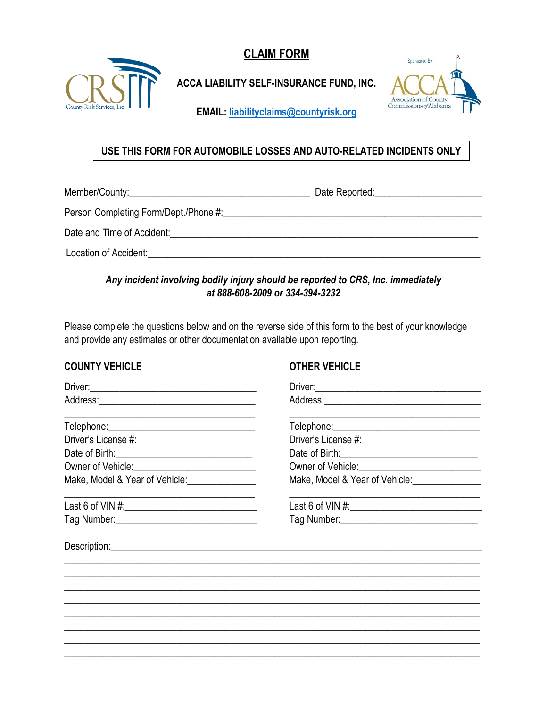**CLAIM FORM** 



# **ACCA LIABILITY SELF-INSURANCE FUND, INC.**



EMAIL: liabilityclaims@countyrisk.org

### USE THIS FORM FOR AUTOMOBILE LOSSES AND AUTO-RELATED INCIDENTS ONLY

Date and Time of Accident: Note that the state of the state of the state of the state of the state of the state of the state of the state of the state of the state of the state of the state of the state of the state of the

**Location of Accident:** Note that the set of the set of the set of the set of the set of the set of the set of the set of the set of the set of the set of the set of the set of the set of the set of the set of the set of t

### Any incident involving bodily injury should be reported to CRS, Inc. immediately at 888-608-2009 or 334-394-3232

Please complete the questions below and on the reverse side of this form to the best of your knowledge and provide any estimates or other documentation available upon reporting.

#### **COUNTY VEHICLE**

#### **OTHER VEHICLE**

| Owner of Vehicle: <u>Communication</u>                        | Owner of Vehicle: <u>Communication</u> |
|---------------------------------------------------------------|----------------------------------------|
| Make, Model & Year of Vehicle: Make, Model & Year of Vehicle: |                                        |
|                                                               |                                        |
|                                                               |                                        |
|                                                               |                                        |
|                                                               |                                        |
|                                                               |                                        |
|                                                               |                                        |
|                                                               |                                        |
|                                                               |                                        |